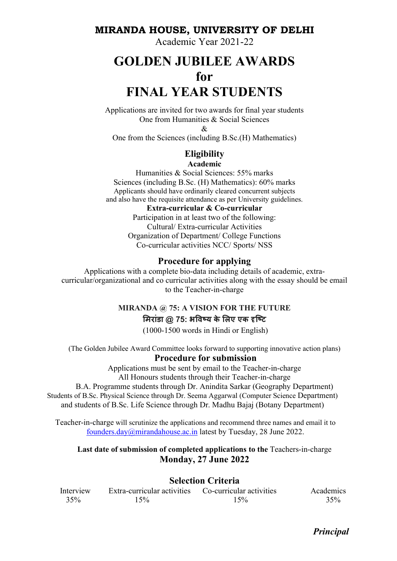### MIRANDA HOUSE, UNIVERSITY OF DELHI

Academic Year 2021-22

# GOLDEN JUBILEE AWARDS for FINAL YEAR STUDENTS

Applications are invited for two awards for final year students One from Humanities & Social Sciences

 $\mathcal{R}$ 

One from the Sciences (including B.Sc.(H) Mathematics)

#### **Eligibility** Academic

Humanities & Social Sciences: 55% marks Sciences (including B.Sc. (H) Mathematics): 60% marks Applicants should have ordinarily cleared concurrent subjects and also have the requisite attendance as per University guidelines.

#### Extra-curricular & Co-curricular

Participation in at least two of the following: Cultural/ Extra-curricular Activities Organization of Department/ College Functions Co-curricular activities NCC/ Sports/ NSS

#### Procedure for applying

Applications with a complete bio-data including details of academic, extracurricular/organizational and co curricular activities along with the essay should be email to the Teacher-in-charge

## MIRANDA @ 75: A VISION FOR THE FUTURE मिरांडा @ 75: भविष्य के लिए एक दृष्टि

(1000-1500 words in Hindi or English)

(The Golden Jubilee Award Committee looks forward to supporting innovative action plans) Procedure for submission

> Applications must be sent by email to the Teacher-in-charge All Honours students through their Teacher-in-charge

B.A. Programme students through Dr. Anindita Sarkar (Geography Department) Students of B.Sc. Physical Science through Dr. Seema Aggarwal (Computer Science Department) and students of B.Sc. Life Science through Dr. Madhu Bajaj (Botany Department)

Teacher-in-charge will scrutinize the applications and recommend three names and email it to founders.day@mirandahouse.ac.in latest by Tuesday, 28 June 2022.

#### Last date of submission of completed applications to the Teachers-in-charge Monday, 27 June 2022

#### Selection Criteria

Interview Extra-curricular activities Co-curricular activities Academics 35% 15% 15% 35%

Principal